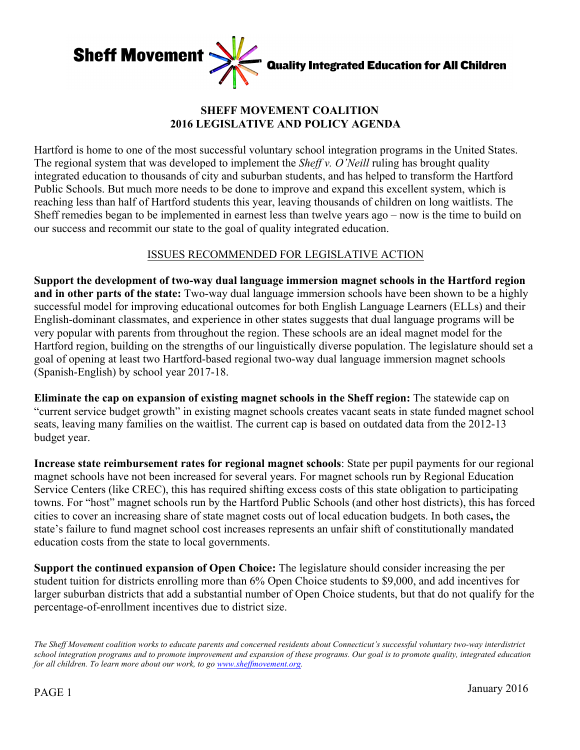

# **SHEFF MOVEMENT COALITION 2016 LEGISLATIVE AND POLICY AGENDA**

Hartford is home to one of the most successful voluntary school integration programs in the United States. The regional system that was developed to implement the *Sheff v. O'Neill* ruling has brought quality integrated education to thousands of city and suburban students, and has helped to transform the Hartford Public Schools. But much more needs to be done to improve and expand this excellent system, which is reaching less than half of Hartford students this year, leaving thousands of children on long waitlists. The Sheff remedies began to be implemented in earnest less than twelve years ago – now is the time to build on our success and recommit our state to the goal of quality integrated education.

### ISSUES RECOMMENDED FOR LEGISLATIVE ACTION

**Support the development of two-way dual language immersion magnet schools in the Hartford region and in other parts of the state:** Two-way dual language immersion schools have been shown to be a highly successful model for improving educational outcomes for both English Language Learners (ELLs) and their English-dominant classmates, and experience in other states suggests that dual language programs will be very popular with parents from throughout the region. These schools are an ideal magnet model for the Hartford region, building on the strengths of our linguistically diverse population. The legislature should set a goal of opening at least two Hartford-based regional two-way dual language immersion magnet schools (Spanish-English) by school year 2017-18.

**Eliminate the cap on expansion of existing magnet schools in the Sheff region:** The statewide cap on "current service budget growth" in existing magnet schools creates vacant seats in state funded magnet school seats, leaving many families on the waitlist. The current cap is based on outdated data from the 2012-13 budget year.

**Increase state reimbursement rates for regional magnet schools**: State per pupil payments for our regional magnet schools have not been increased for several years. For magnet schools run by Regional Education Service Centers (like CREC), this has required shifting excess costs of this state obligation to participating towns. For "host" magnet schools run by the Hartford Public Schools (and other host districts), this has forced cities to cover an increasing share of state magnet costs out of local education budgets. In both cases**,** the state's failure to fund magnet school cost increases represents an unfair shift of constitutionally mandated education costs from the state to local governments.

**Support the continued expansion of Open Choice:** The legislature should consider increasing the per student tuition for districts enrolling more than 6% Open Choice students to \$9,000, and add incentives for larger suburban districts that add a substantial number of Open Choice students, but that do not qualify for the percentage-of-enrollment incentives due to district size.

*The Sheff Movement coalition works to educate parents and concerned residents about Connecticut's successful voluntary two-way interdistrict school integration programs and to promote improvement and expansion of these programs. Our goal is to promote quality, integrated education for all children. To learn more about our work, to go www.sheffmovement.org.*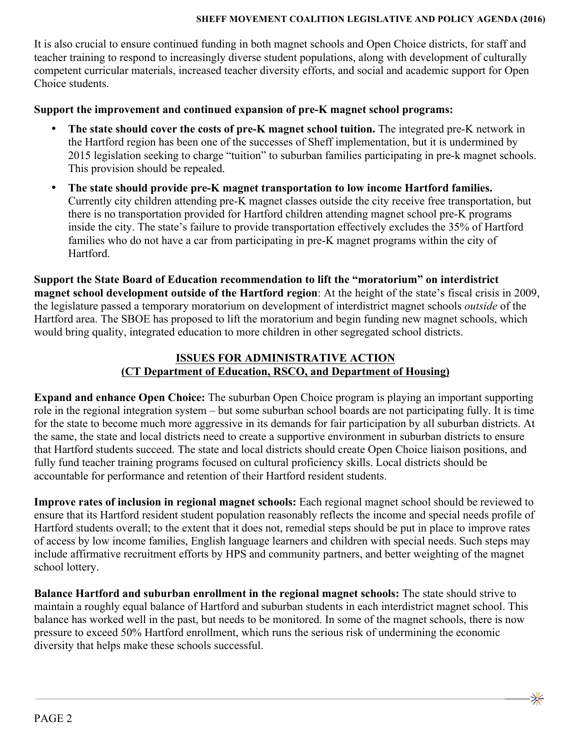#### **SHEFF MOVEMENT COALITION LEGISLATIVE AND POLICY AGENDA (2016)**

It is also crucial to ensure continued funding in both magnet schools and Open Choice districts, for staff and teacher training to respond to increasingly diverse student populations, along with development of culturally competent curricular materials, increased teacher diversity efforts, and social and academic support for Open Choice students.

### **Support the improvement and continued expansion of pre-K magnet school programs:**

- **The state should cover the costs of pre-K magnet school tuition.** The integrated pre-K network in the Hartford region has been one of the successes of Sheff implementation, but it is undermined by 2015 legislation seeking to charge "tuition" to suburban families participating in pre-k magnet schools. This provision should be repealed.
- **The state should provide pre-K magnet transportation to low income Hartford families.** Currently city children attending pre-K magnet classes outside the city receive free transportation, but there is no transportation provided for Hartford children attending magnet school pre-K programs inside the city. The state's failure to provide transportation effectively excludes the 35% of Hartford families who do not have a car from participating in pre-K magnet programs within the city of **Hartford**

**Support the State Board of Education recommendation to lift the "moratorium" on interdistrict magnet school development outside of the Hartford region**: At the height of the state's fiscal crisis in 2009, the legislature passed a temporary moratorium on development of interdistrict magnet schools *outside* of the Hartford area. The SBOE has proposed to lift the moratorium and begin funding new magnet schools, which would bring quality, integrated education to more children in other segregated school districts.

# **ISSUES FOR ADMINISTRATIVE ACTION (CT Department of Education, RSCO, and Department of Housing)**

**Expand and enhance Open Choice:** The suburban Open Choice program is playing an important supporting role in the regional integration system – but some suburban school boards are not participating fully. It is time for the state to become much more aggressive in its demands for fair participation by all suburban districts. At the same, the state and local districts need to create a supportive environment in suburban districts to ensure that Hartford students succeed. The state and local districts should create Open Choice liaison positions, and fully fund teacher training programs focused on cultural proficiency skills. Local districts should be accountable for performance and retention of their Hartford resident students.

**Improve rates of inclusion in regional magnet schools:** Each regional magnet school should be reviewed to ensure that its Hartford resident student population reasonably reflects the income and special needs profile of Hartford students overall; to the extent that it does not, remedial steps should be put in place to improve rates of access by low income families, English language learners and children with special needs. Such steps may include affirmative recruitment efforts by HPS and community partners, and better weighting of the magnet school lottery.

**Balance Hartford and suburban enrollment in the regional magnet schools:** The state should strive to maintain a roughly equal balance of Hartford and suburban students in each interdistrict magnet school. This balance has worked well in the past, but needs to be monitored. In some of the magnet schools, there is now pressure to exceed 50% Hartford enrollment, which runs the serious risk of undermining the economic diversity that helps make these schools successful.